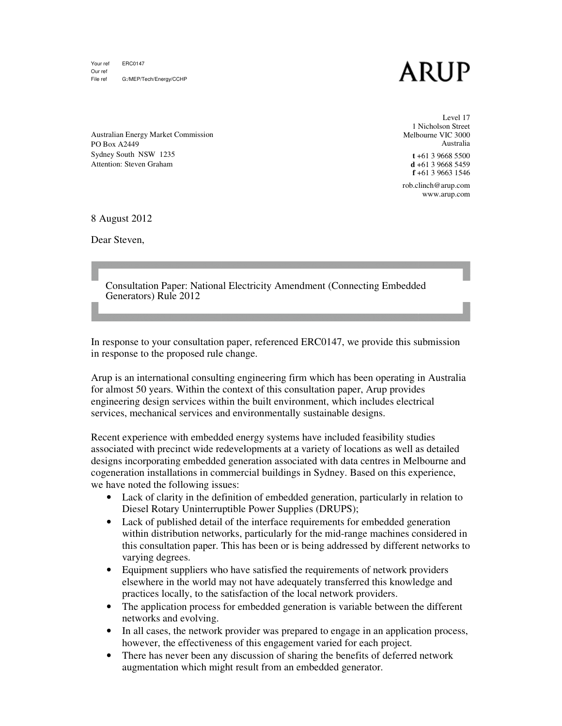Your ref ERC0147 Our ref File ref G:/MEP/Tech/Energy/CCHP

## ARUP

1 Nicholson Street Melbourne VIC 3000 Level 17 Australia

**t** +61 +61 3 9668 5500 **d** +61 +61 3 9668 5459 **f** +61 +61 3 9663 1546

rob.clinch@arup.com www.arup.com

Australian Energy Market Commission PO Box A2449 Sydney South NSW 1235 Attention: Steven Graham

8 August 2012

Dear Steven,

Consultation Paper: National Electricity Amendment (Connecting (Connecting Embedded Generators) Rule 2012

In response to your consultation paper, referenced ERC0147, we provide this submission in response to the proposed rule change. In response to your consultation paper, referenced ERC0147, we provide this submission<br>in response to the proposed rule change.<br>Arup is an international consulting engineering firm which has been operating in Australia

for almost 50 years. Within the context of this consultation paper, Arup provides engineering design services within the built environment, which includes electrical services, mechanical services and environmentally sustainable designs.

Recent experience with embedded energy systems have included feasibility studies for almost 50 years. Within the context of this consultation paper, Arup provides<br>engineering design services within the built environment, which includes electrical<br>services, mechanical services and environmentally sustai designs incorporating embedded generation associated with data centres in Melbourne and cogeneration installations in commercial buildings in Sydney. Based on this experi we have noted the following issues:

- have noted the following issues:<br>• Lack of clarity in the definition of embedded generation, particularly in relation to Diesel Rotary Uninterruptible Power Supplies (DRUPS);
- Lack of published detail of the interface requirements for embedded generation Lack of published detail of the interface requirements for embedded generation<br>within distribution networks, particularly for the mid-range machines considered in<br>this consultation paper. This has been or is being addresse this consultation paper. This has been or is being addressed by different networks to varying degrees.
- Equipment suppliers who have satisfied the requirements of network providers elsewhere in the world may not have adequately transferred this knowledge and practices locally, to the satisfaction of the local network ultation paper. This has been or is being addressed by differences.<br>In the suppliers who have satisfied the requirements of network<br>of network in the world may not have adequately transferred this kn<br>locally, to the satisf
- The application process for embedded generation is variable between the networks and evolving.
- In all cases, the network provider was prepared to engage in an application process, however, the effectiveness of this engagement varied for each project.
- There has never been any discussion of sharing the benefits of deferred network benefits augmentation which might result from an embedded generator.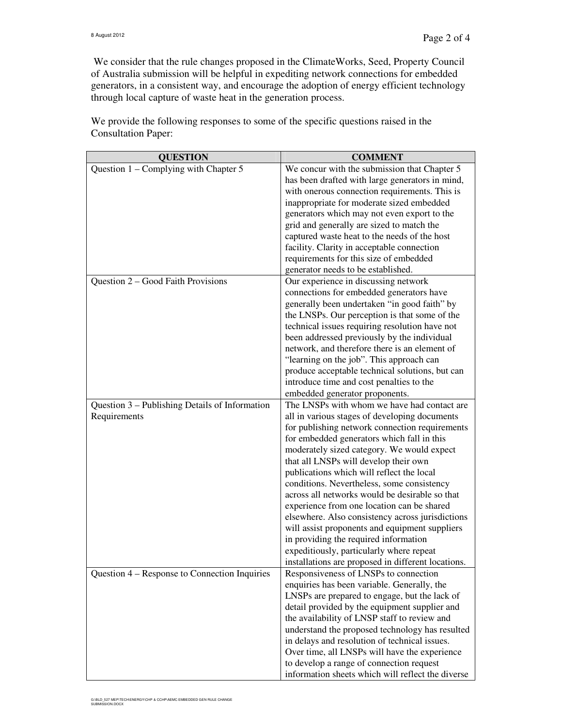We consider that the rule changes proposed in the ClimateWorks, Seed, Property Council of Australia submission will be helpful in expediting network connections for embedded generators, in a consistent way, and encourage the adoption of energy efficient technology through local capture of waste heat in the generation process.

| <b>QUESTION</b>                                | <b>COMMENT</b>                                     |
|------------------------------------------------|----------------------------------------------------|
| Question 1 – Complying with Chapter 5          | We concur with the submission that Chapter 5       |
|                                                | has been drafted with large generators in mind,    |
|                                                | with onerous connection requirements. This is      |
|                                                | inappropriate for moderate sized embedded          |
|                                                | generators which may not even export to the        |
|                                                | grid and generally are sized to match the          |
|                                                | captured waste heat to the needs of the host       |
|                                                | facility. Clarity in acceptable connection         |
|                                                | requirements for this size of embedded             |
|                                                | generator needs to be established.                 |
| Question 2 - Good Faith Provisions             | Our experience in discussing network               |
|                                                | connections for embedded generators have           |
|                                                | generally been undertaken "in good faith" by       |
|                                                | the LNSPs. Our perception is that some of the      |
|                                                | technical issues requiring resolution have not     |
|                                                | been addressed previously by the individual        |
|                                                | network, and therefore there is an element of      |
|                                                | "learning on the job". This approach can           |
|                                                | produce acceptable technical solutions, but can    |
|                                                | introduce time and cost penalties to the           |
|                                                | embedded generator proponents.                     |
| Question 3 – Publishing Details of Information | The LNSPs with whom we have had contact are        |
| Requirements                                   | all in various stages of developing documents      |
|                                                | for publishing network connection requirements     |
|                                                | for embedded generators which fall in this         |
|                                                | moderately sized category. We would expect         |
|                                                | that all LNSPs will develop their own              |
|                                                | publications which will reflect the local          |
|                                                | conditions. Nevertheless, some consistency         |
|                                                | across all networks would be desirable so that     |
|                                                | experience from one location can be shared         |
|                                                | elsewhere. Also consistency across jurisdictions   |
|                                                | will assist proponents and equipment suppliers     |
|                                                | in providing the required information              |
|                                                | expeditiously, particularly where repeat           |
|                                                | installations are proposed in different locations. |
| Question 4 – Response to Connection Inquiries  | Responsiveness of LNSPs to connection              |
|                                                | enquiries has been variable. Generally, the        |
|                                                | LNSPs are prepared to engage, but the lack of      |
|                                                | detail provided by the equipment supplier and      |
|                                                | the availability of LNSP staff to review and       |
|                                                | understand the proposed technology has resulted    |
|                                                | in delays and resolution of technical issues.      |
|                                                | Over time, all LNSPs will have the experience      |
|                                                | to develop a range of connection request           |
|                                                | information sheets which will reflect the diverse  |

We provide the following responses to some of the specific questions raised in the Consultation Paper: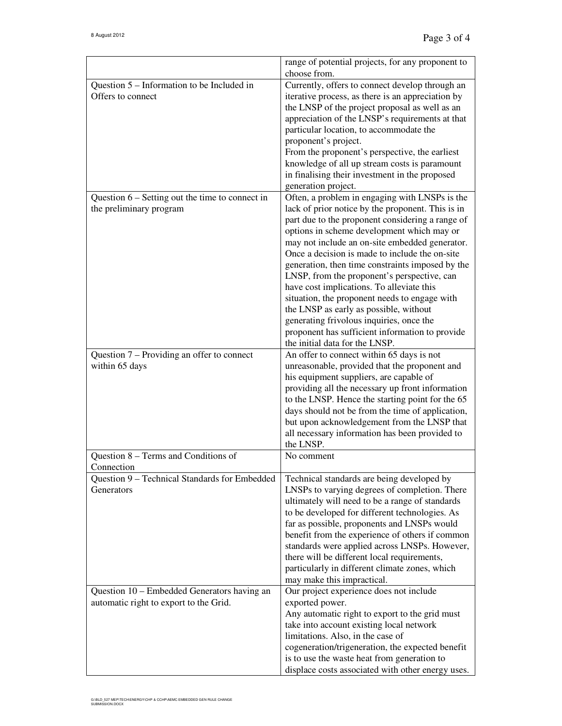|                                                                                                            | range of potential projects, for any proponent to<br>choose from.                                                                                                                                                                                                                                                                                                                                                                                                                                                                                                                                                                                                                     |
|------------------------------------------------------------------------------------------------------------|---------------------------------------------------------------------------------------------------------------------------------------------------------------------------------------------------------------------------------------------------------------------------------------------------------------------------------------------------------------------------------------------------------------------------------------------------------------------------------------------------------------------------------------------------------------------------------------------------------------------------------------------------------------------------------------|
| Question 5 – Information to be Included in<br>Offers to connect                                            | Currently, offers to connect develop through an<br>iterative process, as there is an appreciation by<br>the LNSP of the project proposal as well as an<br>appreciation of the LNSP's requirements at that<br>particular location, to accommodate the<br>proponent's project.<br>From the proponent's perspective, the earliest<br>knowledge of all up stream costs is paramount<br>in finalising their investment in the proposed<br>generation project.                                                                                                                                                                                                                              |
| Question $6$ – Setting out the time to connect in<br>the preliminary program                               | Often, a problem in engaging with LNSPs is the<br>lack of prior notice by the proponent. This is in<br>part due to the proponent considering a range of<br>options in scheme development which may or<br>may not include an on-site embedded generator.<br>Once a decision is made to include the on-site<br>generation, then time constraints imposed by the<br>LNSP, from the proponent's perspective, can<br>have cost implications. To alleviate this<br>situation, the proponent needs to engage with<br>the LNSP as early as possible, without<br>generating frivolous inquiries, once the<br>proponent has sufficient information to provide<br>the initial data for the LNSP. |
| Question 7 – Providing an offer to connect<br>within 65 days                                               | An offer to connect within 65 days is not<br>unreasonable, provided that the proponent and<br>his equipment suppliers, are capable of<br>providing all the necessary up front information<br>to the LNSP. Hence the starting point for the 65<br>days should not be from the time of application,<br>but upon acknowledgement from the LNSP that<br>all necessary information has been provided to<br>the LNSP.                                                                                                                                                                                                                                                                       |
| Question 8 - Terms and Conditions of<br>Connection                                                         | No comment                                                                                                                                                                                                                                                                                                                                                                                                                                                                                                                                                                                                                                                                            |
| Question 9 - Technical Standards for Embedded<br>Generators<br>Question 10 – Embedded Generators having an | Technical standards are being developed by<br>LNSPs to varying degrees of completion. There<br>ultimately will need to be a range of standards<br>to be developed for different technologies. As<br>far as possible, proponents and LNSPs would<br>benefit from the experience of others if common<br>standards were applied across LNSPs. However,<br>there will be different local requirements,<br>particularly in different climate zones, which<br>may make this impractical.<br>Our project experience does not include                                                                                                                                                         |
| automatic right to export to the Grid.                                                                     | exported power.<br>Any automatic right to export to the grid must<br>take into account existing local network<br>limitations. Also, in the case of<br>cogeneration/trigeneration, the expected benefit<br>is to use the waste heat from generation to<br>displace costs associated with other energy uses.                                                                                                                                                                                                                                                                                                                                                                            |